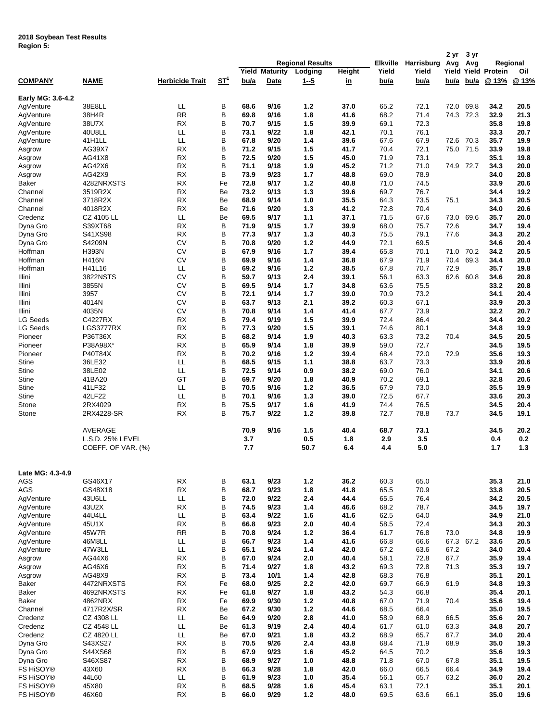## **2018 Soybean Test Results**

| Region 5: |  |
|-----------|--|
|           |  |

|                   |                    |                         |            |      |                       |                         |           |             | 2 yr       | 3 yr  |           |                      |          |
|-------------------|--------------------|-------------------------|------------|------|-----------------------|-------------------------|-----------|-------------|------------|-------|-----------|----------------------|----------|
|                   |                    |                         |            |      |                       | <b>Regional Results</b> |           | Elkville    | Harrisburg | Avg   | Avg       |                      | Regional |
|                   |                    |                         |            |      | <b>Yield Maturity</b> | Lodging                 | Height    | Yield       | Yield      | Yield |           | <b>Yield Protein</b> | Oil      |
| <b>COMPANY</b>    | <b>NAME</b>        | <b>Herbicide Trait</b>  | <u>ST1</u> | bu/a | Date                  | <u>1-5</u>              | <u>in</u> | <u>bu/a</u> | bu/a       | bu/a  | bu/a      | @ 13%                | @ 13%    |
|                   |                    |                         |            |      |                       |                         |           |             |            |       |           |                      |          |
| Early MG: 3.6-4.2 |                    |                         |            |      |                       |                         |           |             |            |       |           |                      |          |
| AqVenture         | 38E8LL             | LL                      | B          | 68.6 | 9/16                  | 1.2                     | 37.0      | 65.2        | 72.1       | 72.0  | 69.8      | 34.2                 | 20.5     |
| AgVenture         | 38H4R              | <b>RR</b>               | B          | 69.8 | 9/16                  | 1.8                     | 41.6      | 68.2        | 71.4       | 74.3  | 72.3      | 32.9                 | 21.3     |
| AgVenture         | 38U7X              | <b>RX</b>               | B          | 70.7 | 9/15                  | 1.5                     | 39.9      | 69.1        | 72.3       |       |           | 35.8                 | 19.8     |
| AgVenture         | 40U8LL             | LL                      | B          | 73.1 | 9/22                  | 1.8                     | 42.1      | 70.1        | 76.1       |       |           | 33.3                 | 20.7     |
| AgVenture         | 41H1LL             | LL                      | B          | 67.8 | 9/20                  | 1.4                     | 39.6      | 67.6        | 67.9       | 72.6  | 70.3      | 35.7                 | 19.9     |
| Asgrow            | AG39X7             | <b>RX</b>               | B          | 71.2 | 9/15                  | 1.5                     | 41.7      | 70.4        | 72.1       | 75.0  | 71.5      | 33.9                 | 19.8     |
| Asgrow            | AG41X8             | <b>RX</b>               | B          | 72.5 | 9/20                  | 1.5                     | 45.0      | 71.9        | 73.1       |       |           | 35.1                 | 19.8     |
| Asgrow            | AG42X6             | <b>RX</b>               | B          | 71.1 | 9/18                  | 1.9                     | 45.2      | 71.2        | 71.0       | 74.9  | 72.7      | 34.3                 | 20.0     |
| Asgrow            | AG42X9             | <b>RX</b>               | В          | 73.9 | 9/23                  | 1.7                     | 48.8      | 69.0        | 78.9       |       |           | 34.0                 | 20.8     |
| Baker             | 4282NRXSTS         | <b>RX</b>               | Fe         | 72.8 | 9/17                  | $1.2$                   | 40.8      | 71.0        | 74.5       |       |           | 33.9                 | 20.6     |
| Channel           | 3519R2X            | <b>RX</b>               | Be         | 73.2 | 9/13                  | 1.3                     | 39.6      | 69.7        | 76.7       |       |           | 34.4                 | 19.2     |
| Channel           | 3718R2X            | <b>RX</b>               | Be         | 68.9 | 9/14                  | 1.0                     | 35.5      | 64.3        | 73.5       | 75.1  |           | 34.3                 | 20.5     |
| Channel           | 4018R2X            | RX                      | Be         | 71.6 | 9/20                  | 1.3                     | 41.2      | 72.8        | 70.4       |       |           | 34.0                 | 20.6     |
| Credenz           | CZ 4105 LL         | LL                      | Be         | 69.5 | 9/17                  | 1.1                     | 37.1      | 71.5        | 67.6       | 73.0  | 69.6      | 35.7                 | 20.0     |
| Dyna Gro          | S39XT68            | <b>RX</b>               | B          | 71.9 | 9/15                  | $1.7$                   | 39.9      | 68.0        | 75.7       | 72.6  |           | 34.7                 | 19.4     |
| Dyna Gro          | S41XS98            | <b>RX</b>               | B          | 77.3 | 9/17                  | 1.3                     | 40.3      | 75.5        | 79.1       | 77.6  |           | 34.3                 | 20.2     |
| Dyna Gro          | S4209N             | <b>CV</b>               | B          | 70.8 | 9/20                  | $1.2$                   | 44.9      | 72.1        | 69.5       |       |           | 34.6                 | 20.4     |
| Hoffman           | <b>H393N</b>       | <b>CV</b>               | B          | 67.9 | 9/16                  | 1.7                     | 39.4      | 65.8        | 70.1       | 71.0  | 70.2      | 34.2                 | 20.5     |
|                   |                    |                         |            |      |                       |                         |           |             |            |       |           |                      |          |
| Hoffman           | <b>H416N</b>       | <b>CV</b>               | B          | 69.9 | 9/16                  | 1.4                     | 36.8      | 67.9        | 71.9       | 70.4  | 69.3      | 34.4                 | 20.0     |
| Hoffman           | H41L16             | LL                      | B          | 69.2 | 9/16                  | $1.2$                   | 38.5      | 67.8        | 70.7       | 72.9  |           | 35.7                 | 19.8     |
| Illini            | 3822NSTS           | <b>CV</b>               | B          | 59.7 | 9/13                  | 2.4                     | 39.1      | 56.1        | 63.3       | 62.6  | 60.8      | 34.6                 | 20.8     |
| Illini            | 3855N              | <b>CV</b>               | B          | 69.5 | 9/14                  | 1.7                     | 34.8      | 63.6        | 75.5       |       |           | 33.2                 | 20.8     |
| Illini            | 3957               | <b>CV</b>               | B          | 72.1 | 9/14                  | 1.7                     | 39.0      | 70.9        | 73.2       |       |           | 34.1                 | 20.4     |
| Illini            | 4014N              | <b>CV</b>               | B          | 63.7 | 9/13                  | 2.1                     | 39.2      | 60.3        | 67.1       |       |           | 33.9                 | 20.3     |
| Illini            | 4035N              | <b>CV</b>               | B          | 70.8 | 9/14                  | 1.4                     | 41.4      | 67.7        | 73.9       |       |           | 32.2                 | 20.7     |
| LG Seeds          | C4227RX            | <b>RX</b>               | B          | 79.4 | 9/19                  | 1.5                     | 39.9      | 72.4        | 86.4       |       |           | 34.4                 | 20.2     |
| <b>LG Seeds</b>   | LGS3777RX          | <b>RX</b>               | B          | 77.3 | 9/20                  | 1.5                     | 39.1      | 74.6        | 80.1       |       |           | 34.8                 | 19.9     |
| Pioneer           | P36T36X            | <b>RX</b>               | B          | 68.2 | 9/14                  | 1.9                     | 40.3      | 63.3        | 73.2       | 70.4  |           | 34.5                 | 20.5     |
| Pioneer           | P38A98X*           | <b>RX</b>               | B          | 65.9 | 9/14                  | 1.8                     | 39.9      | 59.0        | 72.7       |       |           | 34.5                 | 19.5     |
| Pioneer           | P40T84X            | RX                      | B          | 70.2 | 9/16                  | $1.2$                   | 39.4      | 68.4        | 72.0       | 72.9  |           | 35.6                 | 19.3     |
| <b>Stine</b>      | 36LE32             | LL                      | B          | 68.5 | 9/15                  | 1.1                     | 38.8      | 63.7        | 73.3       |       |           | 33.9                 | 20.6     |
| Stine             | 38LE02             | $\mathsf{L}\mathsf{L}%$ | B          | 72.5 | 9/14                  | 0.9                     | 38.2      | 69.0        | 76.0       |       |           | 34.1                 | 20.6     |
|                   |                    |                         |            |      |                       |                         |           |             |            |       |           |                      |          |
| Stine             | 41BA20             | GT                      | B          | 69.7 | 9/20                  | 1.8                     | 40.9      | 70.2        | 69.1       |       |           | 32.8                 | 20.6     |
| <b>Stine</b>      | 41LF32             | LL                      | B          | 70.5 | 9/16                  | $1.2$                   | 36.5      | 67.9        | 73.0       |       |           | 35.5                 | 19.9     |
| <b>Stine</b>      | 42LF22             | LL                      | B          | 70.1 | 9/16                  | 1.3                     | 39.0      | 72.5        | 67.7       |       |           | 33.6                 | 20.3     |
| Stone             | 2RX4029            | <b>RX</b>               | B          | 75.5 | 9/17                  | 1.6                     | 41.9      | 74.4        | 76.5       |       |           | 34.5                 | 20.4     |
| Stone             | 2RX4228-SR         | RX                      | B          | 75.7 | 9/22                  | $1.2$                   | 39.8      | 72.7        | 78.8       | 73.7  |           | 34.5                 | 19.1     |
|                   |                    |                         |            |      |                       |                         |           |             |            |       |           |                      |          |
|                   | <b>AVERAGE</b>     |                         |            | 70.9 | 9/16                  | 1.5                     | 40.4      | 68.7        | 73.1       |       |           | 34.5                 | 20.2     |
|                   | L.S.D. 25% LEVEL   |                         |            | 3.7  |                       | 0.5                     | 1.8       | 2.9         | 3.5        |       |           | 0.4                  | 0.2      |
|                   | COEFF. OF VAR. (%) |                         |            | 7.7  |                       | 50.7                    | 6.4       | 4.4         | 5.0        |       |           | 1.7                  | 1.3      |
|                   |                    |                         |            |      |                       |                         |           |             |            |       |           |                      |          |
| Late MG: 4.3-4.9  |                    |                         |            |      |                       |                         |           |             |            |       |           |                      |          |
| AGS               | GS46X17            | RX                      | B          | 63.1 | 9/23                  | 1.2                     | 36.2      | 60.3        | 65.0       |       |           | 35.3                 | 21.0     |
| AGS               | GS48X18            | <b>RX</b>               | B          | 68.7 | 9/23                  | 1.8                     | 41.8      | 65.5        | 70.9       |       |           | 33.8                 | 20.5     |
| AgVenture         | 43U6LL             | LL.                     | B          | 72.0 | 9/22                  | 2.4                     | 44.4      | 65.5        | 76.4       |       |           | 34.2                 | 20.5     |
| AgVenture         | 43U2X              | RX                      | B          | 74.5 | 9/23                  | 1.4                     | 46.6      | 68.2        | 78.7       |       |           | 34.5                 | 19.7     |
| AgVenture         | 44U4LL             | LL.                     | B          | 63.4 | 9/22                  | 1.6                     | 41.6      | 62.5        | 64.0       |       |           | 34.9                 | 21.0     |
| AqVenture         | 45U1X              | <b>RX</b>               | В          | 66.8 | 9/23                  | 2.0                     | 40.4      | 58.5        | 72.4       |       |           | 34.3                 | 20.3     |
| AgVenture         | 45W7R              | <b>RR</b>               | B          | 70.8 | 9/24                  | 1.2                     | 36.4      | 61.7        | 76.8       | 73.0  |           | 34.8                 | 19.9     |
| AgVenture         | 46M8LL             | LL.                     | В          | 66.7 | 9/23                  | $1.4$                   | 41.6      | 66.8        | 66.6       |       | 67.3 67.2 | 33.6                 | 20.5     |
| AgVenture         | 47W3LL             | LL                      | B          | 65.1 | 9/24                  | 1.4                     | 42.0      | 67.2        | 63.6       | 67.2  |           | 34.0                 | 20.4     |
| Asgrow            | AG44X6             | <b>RX</b>               | B          | 67.0 | 9/24                  | 2.0                     | 40.4      | 58.1        | 72.8       | 67.7  |           | 35.9                 | 19.4     |
| Asgrow            | AG46X6             | <b>RX</b>               | B          | 71.4 | 9/27                  | 1.8                     | 43.2      | 69.3        | 72.8       | 71.3  |           | 35.3                 | 19.7     |
| Asgrow            | AG48X9             | <b>RX</b>               | В          | 73.4 | 10/1                  | 1.4                     | 42.8      | 68.3        | 76.8       |       |           | 35.1                 | 20.1     |
| Baker             | 4472NRXSTS         | <b>RX</b>               | Fe         | 68.0 | 9/25                  | $2.2\,$                 | 42.0      | 69.7        | 66.9       | 61.9  |           | 34.8                 | 19.3     |
| Baker             | 4692NRXSTS         | <b>RX</b>               | Fe         | 61.8 | 9/27                  | 1.8                     | 43.2      | 54.3        | 66.8       |       |           | 35.4                 | 20.1     |
|                   |                    | <b>RX</b>               |            |      |                       |                         |           |             |            |       |           |                      |          |
| Baker             | 4862NRX            |                         | Fe         | 69.9 | 9/30                  | 1.2                     | 40.8      | 67.0        | 71.9       | 70.4  |           | 35.6                 | 19.4     |
| Channel           | 4717R2X/SR         | <b>RX</b>               | Be         | 67.2 | 9/30                  | $1.2$                   | 44.6      | 68.5        | 66.4       |       |           | 35.0                 | 19.5     |
| Credenz           | CZ 4308 LL         | LL                      | Be         | 64.9 | 9/20                  | 2.8                     | 41.0      | 58.9        | 68.9       | 66.5  |           | 35.6                 | 20.7     |
| Credenz           | CZ 4548 LL         | LL                      | Be         | 61.3 | 9/19                  | 2.4                     | 40.4      | 61.7        | 61.0       | 63.3  |           | 34.8                 | 20.7     |
| Credenz           | CZ 4820 LL         | LL.                     | Be         | 67.0 | 9/21                  | 1.8                     | 43.2      | 68.9        | 65.7       | 67.7  |           | 34.0                 | 20.4     |
| Dyna Gro          | S43XS27            | <b>RX</b>               | В          | 70.5 | 9/26                  | 2.4                     | 43.8      | 68.4        | 71.9       | 68.9  |           | 35.0                 | 19.3     |
| Dyna Gro          | S44XS68            | <b>RX</b>               | В          | 67.9 | 9/23                  | 1.6                     | 45.2      | 64.5        | 70.2       |       |           | 35.6                 | 19.3     |
| Dyna Gro          | S46XS87            | <b>RX</b>               | B          | 68.9 | 9/27                  | 1.0                     | 48.8      | 71.8        | 67.0       | 67.8  |           | 35.1                 | 19.5     |
| <b>FS HISOY®</b>  | 43X60              | <b>RX</b>               | B          | 66.3 | 9/28                  | 1.8                     | 42.0      | 66.0        | 66.5       | 66.4  |           | 34.9                 | 19.4     |
| FS HiSOY®         | 44L60              | LL                      | В          | 61.9 | 9/23                  | 1.0                     | 35.4      | 56.1        | 65.7       | 63.2  |           | 36.0                 | 20.2     |
| FS HiSOY®         | 45X80              | RX                      | В          | 68.5 | 9/28                  | 1.6                     | 45.4      | 63.1        | 72.1       |       |           | 35.1                 | 20.1     |
| FS HiSOY®         | 46X60              | <b>RX</b>               | B          | 66.0 | 9/29                  | $1.2$                   | 48.0      | 69.5        | 63.6       | 66.1  |           | 35.0                 | 19.6     |